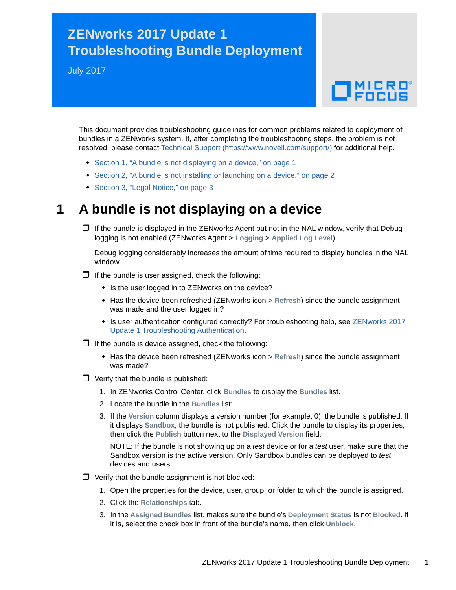## **ZENworks 2017 Update 1 Troubleshooting Bundle Deployment**

July 2017

# $\Box$ MICRO

This document provides troubleshooting guidelines for common problems related to deployment of bundles in a ZENworks system. If, after completing the troubleshooting steps, the problem is not resolved, please contact [Technical Support](https://www.novell.com/support/) (https://www.novell.com/support/) for additional help.

- [Section 1, "A bundle is not displaying on a device," on page 1](#page-0-0)
- [Section 2, "A bundle is not installing or launching on a device," on page 2](#page-1-0)
- [Section 3, "Legal Notice," on page 3](#page-2-0)

### <span id="page-0-0"></span>**1 A bundle is not displaying on a device**

 $\Box$  If the bundle is displayed in the ZENworks Agent but not in the NAL window, verify that Debug logging is not enabled (ZENworks Agent > **Logging** > **Applied Log Level**).

Debug logging considerably increases the amount of time required to display bundles in the NAL window.

- $\Box$  If the bundle is user assigned, check the following:
	- Is the user logged in to ZENworks on the device?
	- Has the device been refreshed (ZENworks icon > **Refresh**) since the bundle assignment was made and the user logged in?
	- Is user authentication configured correctly? For troubleshooting help, see ZENworks 2017 Update 1 Troubleshooting Authentication.
- $\Box$  If the bundle is device assigned, check the following:
	- Has the device been refreshed (ZENworks icon > **Refresh**) since the bundle assignment was made?
- $\Box$  Verify that the bundle is published:
	- 1. In ZENworks Control Center, click **Bundles** to display the **Bundles** list.
	- 2. Locate the bundle in the **Bundles** list:
	- 3. If the **Version** column displays a version number (for example, 0), the bundle is published. If it displays **Sandbox**, the bundle is not published. Click the bundle to display its properties, then click the **Publish** button next to the **Displayed Version** field.

NOTE: If the bundle is not showing up on a *test* device or for a *test* user, make sure that the Sandbox version is the active version. Only Sandbox bundles can be deployed to *test* devices and users.

- $\Box$  Verify that the bundle assignment is not blocked:
	- 1. Open the properties for the device, user, group, or folder to which the bundle is assigned.
	- 2. Click the **Relationships** tab.
	- 3. In the **Assigned Bundles** list, makes sure the bundle's **Deployment Status** is not **Blocked**. If it is, select the check box in front of the bundle's name, then click **Unblock**.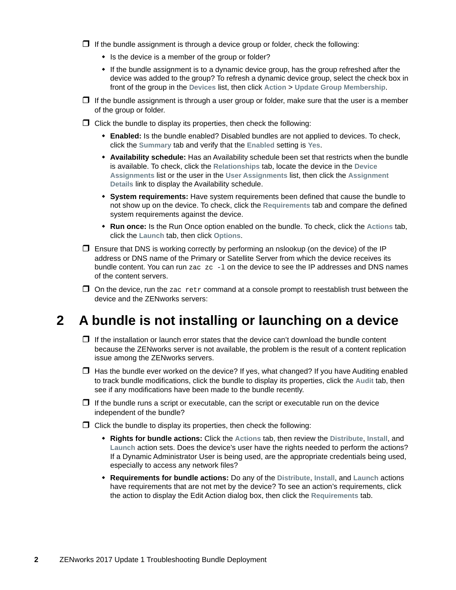$\Box$  If the bundle assignment is through a device group or folder, check the following:

- Is the device is a member of the group or folder?
- If the bundle assignment is to a dynamic device group, has the group refreshed after the device was added to the group? To refresh a dynamic device group, select the check box in front of the group in the **Devices** list, then click **Action** > **Update Group Membership**.
- $\Box$  If the bundle assignment is through a user group or folder, make sure that the user is a member of the group or folder.
- $\Box$  Click the bundle to display its properties, then check the following:
	- **Enabled:** Is the bundle enabled? Disabled bundles are not applied to devices. To check, click the **Summary** tab and verify that the **Enabled** setting is **Yes**.
	- **Availability schedule:** Has an Availability schedule been set that restricts when the bundle is available. To check, click the **Relationships** tab, locate the device in the **Device Assignments** list or the user in the **User Assignments** list, then click the **Assignment Details** link to display the Availability schedule.
	- **System requirements:** Have system requirements been defined that cause the bundle to not show up on the device. To check, click the **Requirements** tab and compare the defined system requirements against the device.
	- **Run once:** Is the Run Once option enabled on the bundle. To check, click the **Actions** tab, click the **Launch** tab, then click **Options**.
- $\Box$  Ensure that DNS is working correctly by performing an nslookup (on the device) of the IP address or DNS name of the Primary or Satellite Server from which the device receives its bundle content. You can run  $zac$   $zc$   $-1$  on the device to see the IP addresses and DNS names of the content servers.
- $\Box$  On the device, run the zac retr command at a console prompt to reestablish trust between the device and the ZENworks servers:

#### <span id="page-1-0"></span>**2 A bundle is not installing or launching on a device**

- $\Box$  If the installation or launch error states that the device can't download the bundle content because the ZENworks server is not available, the problem is the result of a content replication issue among the ZENworks servers.
- $\Box$  Has the bundle ever worked on the device? If yes, what changed? If you have Auditing enabled to track bundle modifications, click the bundle to display its properties, click the **Audit** tab, then see if any modifications have been made to the bundle recently.
- $\Box$  If the bundle runs a script or executable, can the script or executable run on the device independent of the bundle?
- $\Box$  Click the bundle to display its properties, then check the following:
	- **Rights for bundle actions:** Click the **Actions** tab, then review the **Distribute**, **Install**, and **Launch** action sets. Does the device's user have the rights needed to perform the actions? If a Dynamic Administrator User is being used, are the appropriate credentials being used, especially to access any network files?
	- **Requirements for bundle actions:** Do any of the **Distribute**, **Install**, and **Launch** actions have requirements that are not met by the device? To see an action's requirements, click the action to display the Edit Action dialog box, then click the **Requirements** tab.